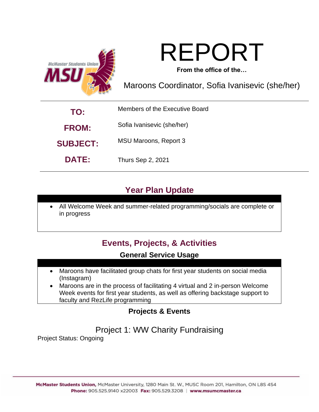



**From the office of the…**

Maroons Coordinator, Sofia Ivanisevic (she/her)

| TO:             | Members of the Executive Board |
|-----------------|--------------------------------|
| <b>FROM:</b>    | Sofia Ivanisevic (she/her)     |
| <b>SUBJECT:</b> | MSU Maroons, Report 3          |
| <b>DATE:</b>    | <b>Thurs Sep 2, 2021</b>       |

# **Year Plan Update**

• All Welcome Week and summer-related programming/socials are complete or in progress

# **Events, Projects, & Activities**

## **General Service Usage**

- Maroons have facilitated group chats for first year students on social media (Instagram)
- Maroons are in the process of facilitating 4 virtual and 2 in-person Welcome Week events for first year students, as well as offering backstage support to faculty and RezLife programming

# **Projects & Events**

# Project 1: WW Charity Fundraising

Project Status: Ongoing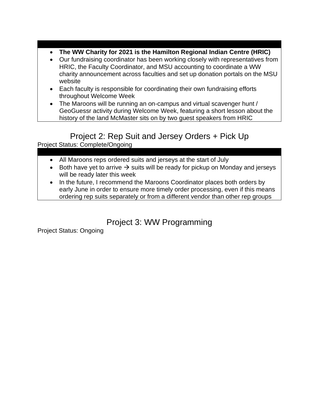- **The WW Charity for 2021 is the Hamilton Regional Indian Centre (HRIC)**
- Our fundraising coordinator has been working closely with representatives from HRIC, the Faculty Coordinator, and MSU accounting to coordinate a WW charity announcement across faculties and set up donation portals on the MSU website
- Each faculty is responsible for coordinating their own fundraising efforts throughout Welcome Week
- The Maroons will be running an on-campus and virtual scavenger hunt / GeoGuessr activity during Welcome Week, featuring a short lesson about the history of the land McMaster sits on by two guest speakers from HRIC

## Project 2: Rep Suit and Jersey Orders + Pick Up

Project Status: Complete/Ongoing

- All Maroons reps ordered suits and jerseys at the start of July
- Both have yet to arrive  $\rightarrow$  suits will be ready for pickup on Monday and jerseys will be ready later this week
- In the future, I recommend the Maroons Coordinator places both orders by early June in order to ensure more timely order processing, even if this means ordering rep suits separately or from a different vendor than other rep groups

# Project 3: WW Programming

Project Status: Ongoing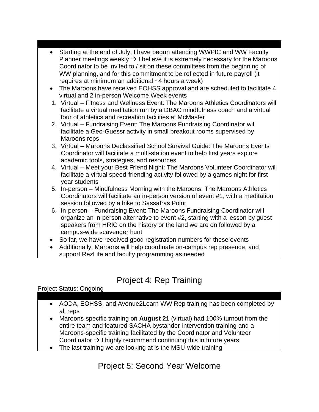- Starting at the end of July, I have begun attending WWPIC and WW Faculty Planner meetings weekly  $\rightarrow$  I believe it is extremely necessary for the Maroons Coordinator to be invited to / sit on these committees from the beginning of WW planning, and for this commitment to be reflected in future payroll (it requires at minimum an additional ~4 hours a week)
- The Maroons have received EOHSS approval and are scheduled to facilitate 4 virtual and 2 in-person Welcome Week events
- 1. Virtual Fitness and Wellness Event: The Maroons Athletics Coordinators will facilitate a virtual meditation run by a DBAC mindfulness coach and a virtual tour of athletics and recreation facilities at McMaster
- 2. Virtual Fundraising Event: The Maroons Fundraising Coordinator will facilitate a Geo-Guessr activity in small breakout rooms supervised by Maroons reps
- 3. Virtual Maroons Declassified School Survival Guide: The Maroons Events Coordinator will facilitate a multi-station event to help first years explore academic tools, strategies, and resources
- 4. Virtual Meet your Best Friend Night: The Maroons Volunteer Coordinator will facilitate a virtual speed-friending activity followed by a games night for first year students
- 5. In-person Mindfulness Morning with the Maroons: The Maroons Athletics Coordinators will facilitate an in-person version of event #1, with a meditation session followed by a hike to Sassafras Point
- 6. In-person Fundraising Event: The Maroons Fundraising Coordinator will organize an in-person alternative to event #2, starting with a lesson by guest speakers from HRIC on the history or the land we are on followed by a campus-wide scavenger hunt
- So far, we have received good registration numbers for these events
- Additionally, Maroons will help coordinate on-campus rep presence, and support RezLife and faculty programming as needed

# Project 4: Rep Training

### Project Status: Ongoing

- AODA, EOHSS, and Avenue2Learn WW Rep training has been completed by all reps
- Maroons-specific training on **August 21** (virtual) had 100% turnout from the entire team and featured SACHA bystander-intervention training and a Maroons-specific training facilitated by the Coordinator and Volunteer Coordinator  $\rightarrow$  I highly recommend continuing this in future years
- The last training we are looking at is the MSU-wide training

# Project 5: Second Year Welcome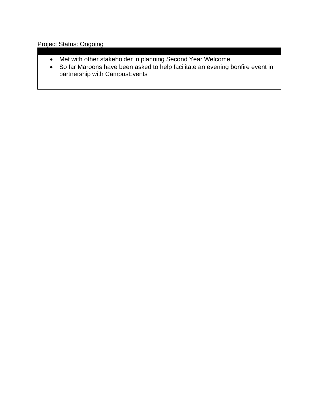### Project Status: Ongoing

- Met with other stakeholder in planning Second Year Welcome
- So far Maroons have been asked to help facilitate an evening bonfire event in partnership with CampusEvents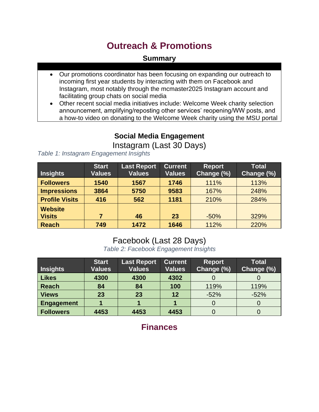# **Outreach & Promotions**

### **Summary**

- Our promotions coordinator has been focusing on expanding our outreach to incoming first year students by interacting with them on Facebook and Instagram, most notably through the mcmaster2025 Instagram account and facilitating group chats on social media
- Other recent social media initiatives include: Welcome Week charity selection announcement, amplifying/reposting other services' reopening/WW posts, and a how-to video on donating to the Welcome Week charity using the MSU portal

## **Social Media Engagement**

Instagram (Last 30 Days)

#### *Table 1: Instagram Engagement Insights*

|                       | <b>Start</b>  | <b>Last Report</b> | <b>Current</b> | <b>Report</b> | <b>Total</b> |
|-----------------------|---------------|--------------------|----------------|---------------|--------------|
| Insights              | <b>Values</b> | <b>Values</b>      | <b>Values</b>  | Change (%)    | Change (%)   |
| <b>Followers</b>      | 1540          | 1567               | 1746           | 111%          | 113%         |
| <b>Impressions</b>    | 3864          | 5750               | 9583           | 167%          | 248%         |
| <b>Profile Visits</b> | 416           | 562                | 1181           | 210%          | 284%         |
| <b>Website</b>        |               |                    |                |               |              |
| <b>Visits</b>         |               | 46                 | 23             | $-50%$        | 329%         |
| <b>Reach</b>          | 749           | 1472               | 1646           | 112%          | 220%         |

## Facebook (Last 28 Days)

*Table 2: Facebook Engagement Insights*

| <b>Insights</b>   | <b>Start</b><br><b>Values</b> | Last Report<br><b>Values</b> | <b>Current</b><br><b>Values</b> | <b>Report</b><br>Change (%) | <b>Total</b><br>Change (%) |
|-------------------|-------------------------------|------------------------------|---------------------------------|-----------------------------|----------------------------|
| <b>Likes</b>      | 4300                          | 4300                         | 4302                            |                             |                            |
| <b>Reach</b>      | 84                            | 84                           | 100                             | 119%                        | 119%                       |
| <b>Views</b>      | 23                            | 23                           | 12                              | $-52%$                      | $-52%$                     |
| <b>Engagement</b> |                               |                              |                                 |                             |                            |
| <b>Followers</b>  | 4453                          | 4453                         | 4453                            |                             |                            |

**Finances**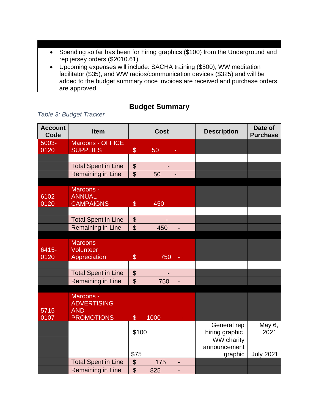- Spending so far has been for hiring graphics (\$100) from the Underground and rep jersey orders (\$2010.61)
- Upcoming expenses will include: SACHA training (\$500), WW meditation facilitator (\$35), and WW radios/communication devices (\$325) and will be added to the budget summary once invoices are received and purchase orders are approved

### **Budget Summary**

| <b>Account</b><br>Code | <b>Item</b>                                                        | <b>Cost</b>                                 |      | <b>Description</b> | Date of<br><b>Purchase</b> |                  |
|------------------------|--------------------------------------------------------------------|---------------------------------------------|------|--------------------|----------------------------|------------------|
| 5003-                  | <b>Maroons - OFFICE</b>                                            |                                             |      |                    |                            |                  |
| 0120                   | <b>SUPPLIES</b>                                                    | $\$\$                                       | 50   |                    |                            |                  |
|                        |                                                                    |                                             |      |                    |                            |                  |
|                        | <b>Total Spent in Line</b>                                         | $\boldsymbol{\theta}$                       |      |                    |                            |                  |
|                        | <b>Remaining in Line</b>                                           | $\mathfrak{S}$                              | 50   |                    |                            |                  |
| 6102-<br>0120          | Maroons -<br><b>ANNUAL</b><br><b>CAMPAIGNS</b>                     | $\$\$                                       | 450  |                    |                            |                  |
|                        |                                                                    |                                             |      |                    |                            |                  |
|                        | <b>Total Spent in Line</b>                                         | $\boldsymbol{\mathsf{S}}$<br>$\mathfrak{S}$ |      |                    |                            |                  |
|                        | <b>Remaining in Line</b>                                           |                                             | 450  |                    |                            |                  |
| 6415-<br>0120          | Maroons -<br>Volunteer<br>Appreciation                             | $\$\$                                       | 750  |                    |                            |                  |
|                        |                                                                    |                                             |      |                    |                            |                  |
|                        | <b>Total Spent in Line</b>                                         | $\boldsymbol{\mathsf{S}}$                   |      |                    |                            |                  |
|                        | Remaining in Line                                                  | $\mathfrak{S}$                              | 750  |                    |                            |                  |
|                        |                                                                    |                                             |      |                    |                            |                  |
| $5715 -$<br>0107       | Maroons -<br><b>ADVERTISING</b><br><b>AND</b><br><b>PROMOTIONS</b> | $\mathcal{S}$                               | 1000 |                    |                            |                  |
|                        |                                                                    |                                             |      |                    | General rep                | May 6,           |
|                        |                                                                    | \$100                                       |      |                    | hiring graphic             | 2021             |
|                        |                                                                    |                                             |      |                    | <b>WW charity</b>          |                  |
|                        |                                                                    |                                             |      |                    | announcement               |                  |
|                        |                                                                    | \$75                                        |      |                    | graphic                    | <b>July 2021</b> |
|                        | <b>Total Spent in Line</b>                                         | $\boldsymbol{\theta}$                       | 175  |                    |                            |                  |
|                        | Remaining in Line                                                  | $\mathfrak{S}$                              | 825  |                    |                            |                  |

#### *Table 3: Budget Tracker*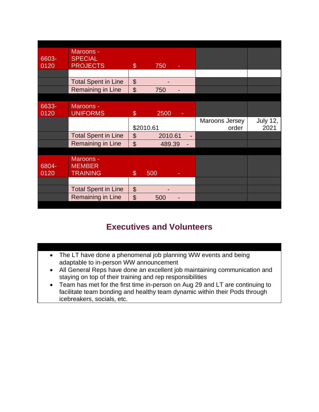| 6603- | Maroons -<br><b>SPECIAL</b> |                           |           |   |                |                 |
|-------|-----------------------------|---------------------------|-----------|---|----------------|-----------------|
| 0120  | <b>PROJECTS</b>             | $\boldsymbol{\mathsf{S}}$ | 750       |   |                |                 |
|       |                             |                           |           |   |                |                 |
|       | <b>Total Spent in Line</b>  | $\boldsymbol{\theta}$     |           |   |                |                 |
|       | Remaining in Line           | $\mathfrak{S}$            | 750       |   |                |                 |
|       |                             |                           |           |   |                |                 |
| 6633- | Maroons -                   |                           |           |   |                |                 |
| 0120  | <b>UNIFORMS</b>             | $\mathbb{S}$              | 2500      |   |                |                 |
|       |                             |                           |           |   | Maroons Jersey | <b>July 12,</b> |
|       |                             |                           | \$2010.61 |   | order          | 2021            |
|       | <b>Total Spent in Line</b>  | $\boldsymbol{\theta}$     | 2010.61   | ٠ |                |                 |
|       | <b>Remaining in Line</b>    | $\mathfrak{S}$            | 489.39    |   |                |                 |
|       |                             |                           |           |   |                |                 |
|       | Maroons -                   |                           |           |   |                |                 |
| 6804- | <b>MEMBER</b>               |                           |           |   |                |                 |
| 0120  | <b>TRAINING</b>             | $\boldsymbol{\mathsf{S}}$ | 500       |   |                |                 |
|       |                             |                           |           |   |                |                 |
|       | <b>Total Spent in Line</b>  | $\boldsymbol{\mathsf{S}}$ |           |   |                |                 |
|       | Remaining in Line           | $\mathfrak{S}$            | 500       |   |                |                 |

# **Executives and Volunteers**

- The LT have done a phenomenal job planning WW events and being adaptable to in-person WW announcement
- All General Reps have done an excellent job maintaining communication and staying on top of their training and rep responsibilities
- Team has met for the first time in-person on Aug 29 and LT are continuing to facilitate team bonding and healthy team dynamic within their Pods through icebreakers, socials, etc.